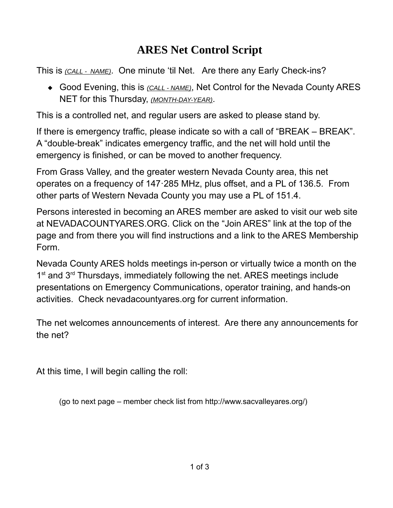## **ARES Net Control Script**

This is *( CALL - NAME)*. One minute 'til Net. Are there any Early Check-ins?

◆ Good Evening, this is *(CALL - NAME)*, Net Control for the Nevada County ARES NET for this Thursday, *(MONTH-DAY-YEAR)*.

This is a controlled net, and regular users are asked to please stand by.

If there is emergency traffic, please indicate so with a call of "BREAK – BREAK". A "double-break" indicates emergency traffic, and the net will hold until the emergency is finished, or can be moved to another frequency.

From Grass Valley, and the greater western Nevada County area, this net operates on a frequency of 147·285 MHz, plus offset, and a PL of 136.5. From other parts of Western Nevada County you may use a PL of 151.4.

Persons interested in becoming an ARES member are asked to visit our web site at NEVADACOUNTYARES.ORG. Click on the "Join ARES" link at the top of the page and from there you will find instructions and a link to the ARES Membership Form.

Nevada County ARES holds meetings in-person or virtually twice a month on the 1<sup>st</sup> and 3<sup>rd</sup> Thursdays, immediately following the net. ARES meetings include presentations on Emergency Communications, operator training, and hands-on activities. Check nevadacountyares.org for current information.

The net welcomes announcements of interest. Are there any announcements for the net?

At this time, I will begin calling the roll:

(go to next page – member check list from http://www.sacvalleyares.org/)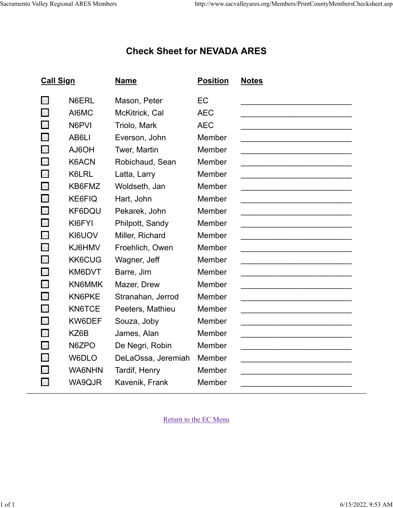## **Check Sheet for NEVADA ARES**

| <b>Call Sign</b> |                    | <b>Name</b>        | <b>Position</b> | <b>Notes</b> |
|------------------|--------------------|--------------------|-----------------|--------------|
|                  | N6ERL              | Mason, Peter       | EC              |              |
| $\Box$           | AI6MC              | McKitrick, Cal     | <b>AEC</b>      |              |
| $\Box$           | N6PVI              | Triolo, Mark       | <b>AEC</b>      |              |
| $\Box$           | AB6LI              | Everson, John      | Member          |              |
| $\Box$           | HO <sub>a</sub> LA | Twer, Martin       | Member          |              |
| $\Box$           | K6ACN              | Robichaud, Sean    | Member          |              |
| $\Box$           | K6LRL              | Latta, Larry       | Member          |              |
| $\Box$           | KB6FMZ             | Woldseth, Jan      | Member          |              |
| $\Box$           | <b>KE6FIQ</b>      | Hart, John         | Member          |              |
| $\Box$           | KF6DQU             | Pekarek, John      | Member          |              |
| $\Box$           | KI6FYI             | Philpott, Sandy    | Member          |              |
| $\Box$           | KI6UOV             | Miller, Richard    | Member          |              |
| $\Box$           | KJ6HMV             | Froehlich, Owen    | Member          |              |
| $\Box$           | <b>KK6CUG</b>      | Wagner, Jeff       | Member          |              |
| $\Box$           | KM6DVT             | Barre, Jim         | Member          |              |
| $\Box$           | KN6MMK             | Mazer, Drew        | Member          |              |
| $\Box$           | KN6PKE             | Stranahan, Jerrod  | Member          |              |
| $\Box$           | KN6TCE             | Peeters, Mathieu   | Member          |              |
| $\Box$           | KW6DEF             | Souza, Joby        | Member          |              |
| $\Box$           | KZ6B               | James, Alan        | Member          |              |
| $\Box$           | N6ZPO              | De Negri, Robin    | Member          |              |
| $\Box$           | W6DLO              | DeLaOssa, Jeremiah | Member          |              |
|                  | WA6NHN             | Tardif, Henry      | Member          |              |
|                  | WA9QJR             | Kavenik, Frank     | Member          |              |
|                  |                    |                    |                 |              |

[Return to the EC Menu](http://www.sacvalleyares.org/Members/index.asp#ECOptions)